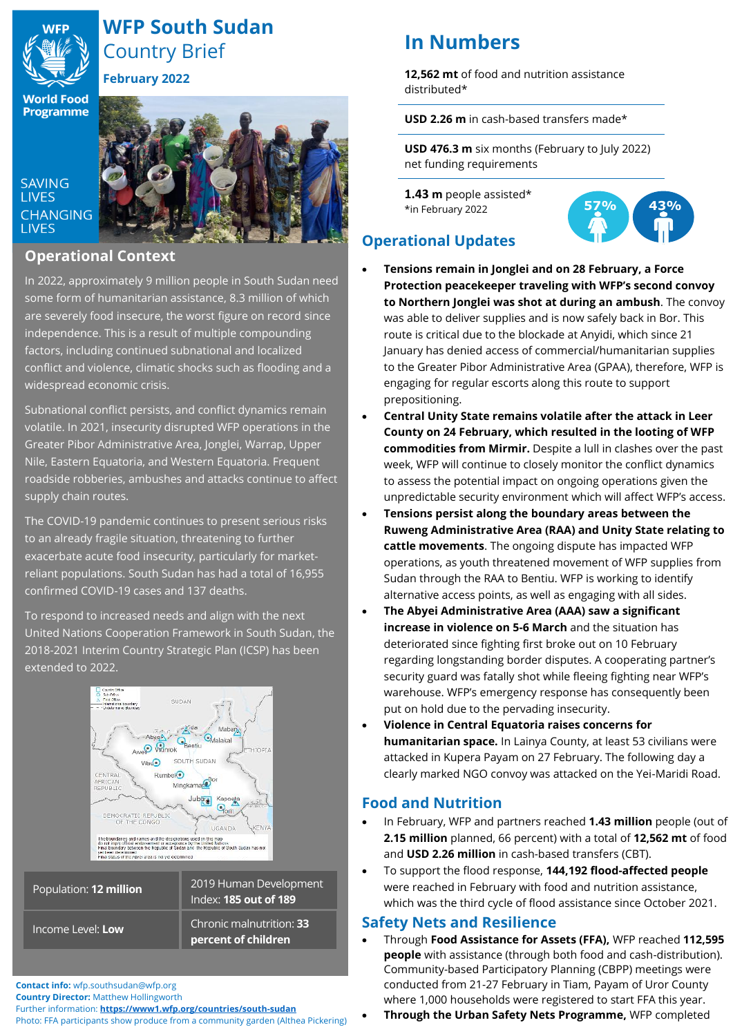

# **WFP South Sudan** Country Brief

**February 2022**

**World Food Programme** 

**SAVING LIVES** 

**LIVES** 

**CHANGING** 

## **Operational Context**

In 2022, approximately 9 million people in South Sudan need some form of humanitarian assistance, 8.3 million of which are severely food insecure, the worst figure on record since independence. This is a result of multiple compounding factors, including continued subnational and localized conflict and violence, climatic shocks such as flooding and a widespread economic crisis.

Subnational conflict persists, and conflict dynamics remain volatile. In 2021, insecurity disrupted WFP operations in the Greater Pibor Administrative Area, Jonglei, Warrap, Upper Nile, Eastern Equatoria, and Western Equatoria. Frequent roadside robberies, ambushes and attacks continue to affect supply chain routes.

The COVID-19 pandemic continues to present serious risks to an already fragile situation, threatening to further exacerbate acute food insecurity, particularly for marketreliant populations. South Sudan has had a total of 16,955 confirmed COVID-19 cases and 137 deaths.

To respond to increased needs and align with the next United Nations Cooperation Framework in South Sudan, the 2018-2021 Interim Country Strategic Plan (ICSP) has been extended to 2022.



| Population: <b>12 m<u>illion</u></b> | 2019 Human Development<br>Index: <b>185 out of 189</b> |
|--------------------------------------|--------------------------------------------------------|
| Income Level: Low                    | Chronic malnutrition: 33<br>percent of children        |

**Contact info:** wfp.southsudan@wfp.org

**Country Director:** Matthew Hollingworth

Further information: **<https://www1.wfp.org/countries/south-sudan>**

Photo: FFA participants show produce from a community garden (Althea Pickering)

# **In Numbers**

**12,562 mt** of food and nutrition assistance distributed\*

**USD 2.26 m** in cash-based transfers made\*

**USD 476.3 m** six months (February to July 2022) net funding requirements

**1.43 m** people assisted\* \*in February 2022



## **Operational Updates**

- **Tensions remain in Jonglei and on 28 February, a Force Protection peacekeeper traveling with WFP's second convoy to Northern Jonglei was shot at during an ambush**. The convoy was able to deliver supplies and is now safely back in Bor. This route is critical due to the blockade at Anyidi, which since 21 January has denied access of commercial/humanitarian supplies to the Greater Pibor Administrative Area (GPAA), therefore, WFP is engaging for regular escorts along this route to support prepositioning.
- **Central Unity State remains volatile after the attack in Leer County on 24 February, which resulted in the looting of WFP commodities from Mirmir.** Despite a lull in clashes over the past week, WFP will continue to closely monitor the conflict dynamics to assess the potential impact on ongoing operations given the unpredictable security environment which will affect WFP's access.
- **Tensions persist along the boundary areas between the Ruweng Administrative Area (RAA) and Unity State relating to cattle movements**. The ongoing dispute has impacted WFP operations, as youth threatened movement of WFP supplies from Sudan through the RAA to Bentiu. WFP is working to identify alternative access points, as well as engaging with all sides.
- **The Abyei Administrative Area (AAA) saw a significant increase in violence on 5-6 March** and the situation has deteriorated since fighting first broke out on 10 February regarding longstanding border disputes. A cooperating partner's security guard was fatally shot while fleeing fighting near WFP's warehouse. WFP's emergency response has consequently been put on hold due to the pervading insecurity.
- **Violence in Central Equatoria raises concerns for humanitarian space.** In Lainya County, at least 53 civilians were attacked in Kupera Payam on 27 February. The following day a clearly marked NGO convoy was attacked on the Yei-Maridi Road.

## **Food and Nutrition**

- In February, WFP and partners reached **1.43 million** people (out of **2.15 million** planned, 66 percent) with a total of **12,562 mt** of food and **USD 2.26 million** in cash-based transfers (CBT).
- To support the flood response, **144,192 flood-affected people** were reached in February with food and nutrition assistance, which was the third cycle of flood assistance since October 2021.

## **Safety Nets and Resilience**

- Through **Food Assistance for Assets (FFA),** WFP reached **112,595 people** with assistance (through both food and cash-distribution). Community-based Participatory Planning (CBPP) meetings were conducted from 21-27 February in Tiam, Payam of Uror County where 1,000 households were registered to start FFA this year.
	- **Through the Urban Safety Nets Programme,** WFP completed